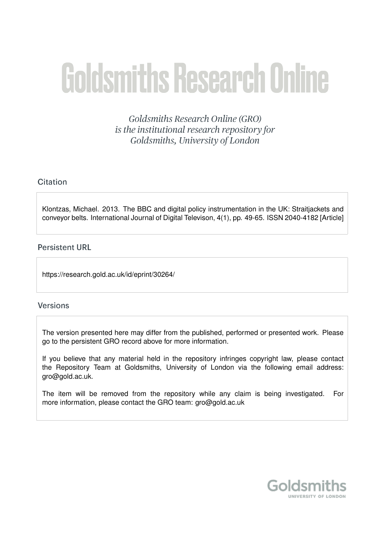# **Goldsmiths Research Online**

Goldsmiths Research Online (GRO) is the institutional research repository for Goldsmiths, University of London

# Citation

Klontzas, Michael. 2013. The BBC and digital policy instrumentation in the UK: Straitiackets and conveyor belts. International Journal of Digital Televison, 4(1), pp. 49-65. ISSN 2040-4182 [Article]

# **Persistent URL**

https://research.gold.ac.uk/id/eprint/30264/

# **Versions**

The version presented here may differ from the published, performed or presented work. Please go to the persistent GRO record above for more information.

If you believe that any material held in the repository infringes copyright law, please contact the Repository Team at Goldsmiths, University of London via the following email address: gro@gold.ac.uk.

The item will be removed from the repository while any claim is being investigated. For more information, please contact the GRO team: gro@gold.ac.uk

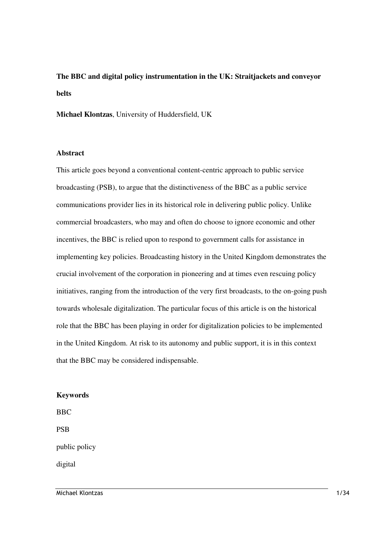**The BBC and digital policy instrumentation in the UK: Straitjackets and conveyor belts** 

**Michael Klontzas**, University of Huddersfield, UK

## **Abstract**

This article goes beyond a conventional content-centric approach to public service broadcasting (PSB), to argue that the distinctiveness of the BBC as a public service communications provider lies in its historical role in delivering public policy. Unlike commercial broadcasters, who may and often do choose to ignore economic and other incentives, the BBC is relied upon to respond to government calls for assistance in implementing key policies. Broadcasting history in the United Kingdom demonstrates the crucial involvement of the corporation in pioneering and at times even rescuing policy initiatives, ranging from the introduction of the very first broadcasts, to the on-going push towards wholesale digitalization. The particular focus of this article is on the historical role that the BBC has been playing in order for digitalization policies to be implemented in the United Kingdom. At risk to its autonomy and public support, it is in this context that the BBC may be considered indispensable.

## **Keywords**

BBC PSB public policy

digital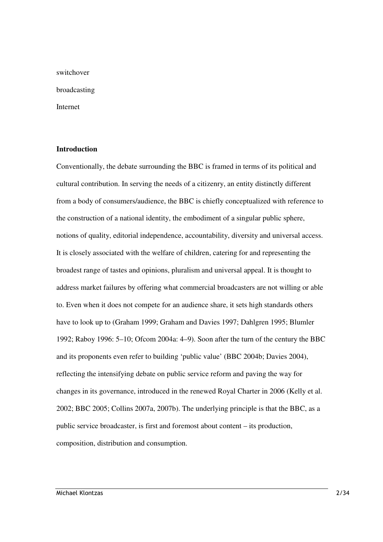switchover broadcasting Internet

# **Introduction**

Conventionally, the debate surrounding the BBC is framed in terms of its political and cultural contribution. In serving the needs of a citizenry, an entity distinctly different from a body of consumers/audience, the BBC is chiefly conceptualized with reference to the construction of a national identity, the embodiment of a singular public sphere, notions of quality, editorial independence, accountability, diversity and universal access. It is closely associated with the welfare of children, catering for and representing the broadest range of tastes and opinions, pluralism and universal appeal. It is thought to address market failures by offering what commercial broadcasters are not willing or able to. Even when it does not compete for an audience share, it sets high standards others have to look up to (Graham 1999; Graham and Davies 1997; Dahlgren 1995; Blumler 1992; Raboy 1996: 5–10; Ofcom 2004a: 4–9). Soon after the turn of the century the BBC and its proponents even refer to building 'public value' (BBC 2004b; Davies 2004), reflecting the intensifying debate on public service reform and paving the way for changes in its governance, introduced in the renewed Royal Charter in 2006 (Kelly et al. 2002; BBC 2005; Collins 2007a, 2007b). The underlying principle is that the BBC, as a public service broadcaster, is first and foremost about content – its production, composition, distribution and consumption.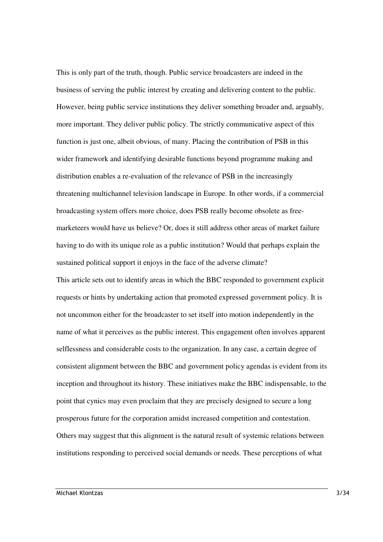This is only part of the truth, though. Public service broadcasters are indeed in the business of serving the public interest by creating and delivering content to the public. However, being public service institutions they deliver something broader and, arguably, more important. They deliver public policy. The strictly communicative aspect of this function is just one, albeit obvious, of many. Placing the contribution of PSB in this wider framework and identifying desirable functions beyond programme making and distribution enables a re-evaluation of the relevance of PSB in the increasingly threatening multichannel television landscape in Europe. In other words, if a commercial broadcasting system offers more choice, does PSB really become obsolete as freemarketeers would have us believe? Or, does it still address other areas of market failure having to do with its unique role as a public institution? Would that perhaps explain the sustained political support it enjoys in the face of the adverse climate? This article sets out to identify areas in which the BBC responded to government explicit requests or hints by undertaking action that promoted expressed government policy. It is not uncommon either for the broadcaster to set itself into motion independently in the name of what it perceives as the public interest. This engagement often involves apparent selflessness and considerable costs to the organization. In any case, a certain degree of consistent alignment between the BBC and government policy agendas is evident from its inception and throughout its history. These initiatives make the BBC indispensable, to the point that cynics may even proclaim that they are precisely designed to secure a long prosperous future for the corporation amidst increased competition and contestation. Others may suggest that this alignment is the natural result of systemic relations between institutions responding to perceived social demands or needs. These perceptions of what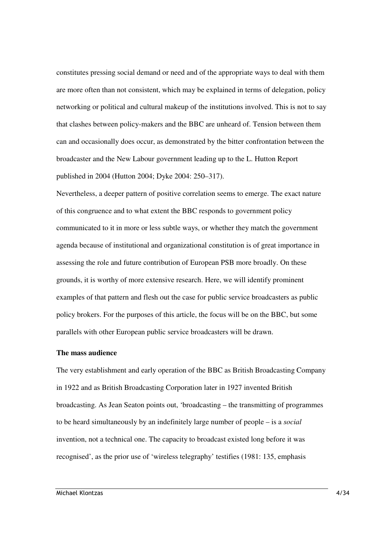constitutes pressing social demand or need and of the appropriate ways to deal with them are more often than not consistent, which may be explained in terms of delegation, policy networking or political and cultural makeup of the institutions involved. This is not to say that clashes between policy-makers and the BBC are unheard of. Tension between them can and occasionally does occur, as demonstrated by the bitter confrontation between the broadcaster and the New Labour government leading up to the L. Hutton Report published in 2004 (Hutton 2004; Dyke 2004: 250–317).

Nevertheless, a deeper pattern of positive correlation seems to emerge. The exact nature of this congruence and to what extent the BBC responds to government policy communicated to it in more or less subtle ways, or whether they match the government agenda because of institutional and organizational constitution is of great importance in assessing the role and future contribution of European PSB more broadly. On these grounds, it is worthy of more extensive research. Here, we will identify prominent examples of that pattern and flesh out the case for public service broadcasters as public policy brokers. For the purposes of this article, the focus will be on the BBC, but some parallels with other European public service broadcasters will be drawn.

#### **The mass audience**

The very establishment and early operation of the BBC as British Broadcasting Company in 1922 and as British Broadcasting Corporation later in 1927 invented British broadcasting. As Jean Seaton points out, 'broadcasting – the transmitting of programmes to be heard simultaneously by an indefinitely large number of people – is a *social* invention, not a technical one. The capacity to broadcast existed long before it was recognised', as the prior use of 'wireless telegraphy' testifies (1981: 135, emphasis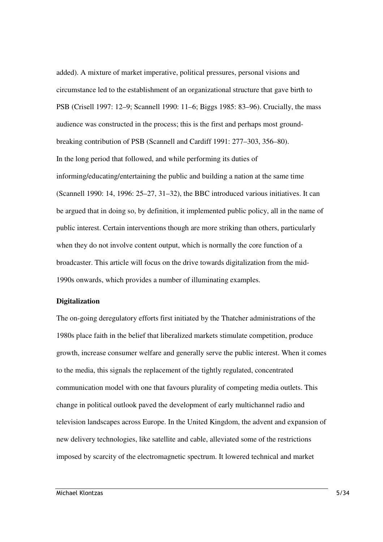added). A mixture of market imperative, political pressures, personal visions and circumstance led to the establishment of an organizational structure that gave birth to PSB (Crisell 1997: 12–9; Scannell 1990: 11–6; Biggs 1985: 83–96). Crucially, the mass audience was constructed in the process; this is the first and perhaps most groundbreaking contribution of PSB (Scannell and Cardiff 1991: 277–303, 356–80). In the long period that followed, and while performing its duties of informing/educating/entertaining the public and building a nation at the same time (Scannell 1990: 14, 1996: 25–27, 31–32), the BBC introduced various initiatives. It can be argued that in doing so, by definition, it implemented public policy, all in the name of public interest. Certain interventions though are more striking than others, particularly when they do not involve content output, which is normally the core function of a broadcaster. This article will focus on the drive towards digitalization from the mid-1990s onwards, which provides a number of illuminating examples.

## **Digitalization**

The on-going deregulatory efforts first initiated by the Thatcher administrations of the 1980s place faith in the belief that liberalized markets stimulate competition, produce growth, increase consumer welfare and generally serve the public interest. When it comes to the media, this signals the replacement of the tightly regulated, concentrated communication model with one that favours plurality of competing media outlets. This change in political outlook paved the development of early multichannel radio and television landscapes across Europe. In the United Kingdom, the advent and expansion of new delivery technologies, like satellite and cable, alleviated some of the restrictions imposed by scarcity of the electromagnetic spectrum. It lowered technical and market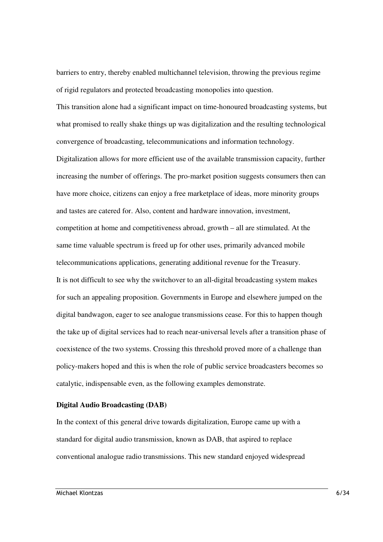barriers to entry, thereby enabled multichannel television, throwing the previous regime of rigid regulators and protected broadcasting monopolies into question.

This transition alone had a significant impact on time-honoured broadcasting systems, but what promised to really shake things up was digitalization and the resulting technological convergence of broadcasting, telecommunications and information technology.

Digitalization allows for more efficient use of the available transmission capacity, further increasing the number of offerings. The pro-market position suggests consumers then can have more choice, citizens can enjoy a free marketplace of ideas, more minority groups and tastes are catered for. Also, content and hardware innovation, investment, competition at home and competitiveness abroad, growth – all are stimulated. At the same time valuable spectrum is freed up for other uses, primarily advanced mobile telecommunications applications, generating additional revenue for the Treasury. It is not difficult to see why the switchover to an all-digital broadcasting system makes for such an appealing proposition. Governments in Europe and elsewhere jumped on the digital bandwagon, eager to see analogue transmissions cease. For this to happen though the take up of digital services had to reach near-universal levels after a transition phase of coexistence of the two systems. Crossing this threshold proved more of a challenge than policy-makers hoped and this is when the role of public service broadcasters becomes so catalytic, indispensable even, as the following examples demonstrate.

## **Digital Audio Broadcasting (DAB)**

In the context of this general drive towards digitalization, Europe came up with a standard for digital audio transmission, known as DAB, that aspired to replace conventional analogue radio transmissions. This new standard enjoyed widespread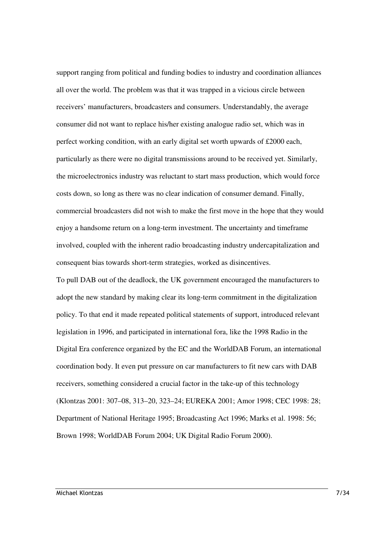support ranging from political and funding bodies to industry and coordination alliances all over the world. The problem was that it was trapped in a vicious circle between receivers' manufacturers, broadcasters and consumers. Understandably, the average consumer did not want to replace his/her existing analogue radio set, which was in perfect working condition, with an early digital set worth upwards of £2000 each, particularly as there were no digital transmissions around to be received yet. Similarly, the microelectronics industry was reluctant to start mass production, which would force costs down, so long as there was no clear indication of consumer demand. Finally, commercial broadcasters did not wish to make the first move in the hope that they would enjoy a handsome return on a long-term investment. The uncertainty and timeframe involved, coupled with the inherent radio broadcasting industry undercapitalization and consequent bias towards short-term strategies, worked as disincentives. To pull DAB out of the deadlock, the UK government encouraged the manufacturers to adopt the new standard by making clear its long-term commitment in the digitalization policy. To that end it made repeated political statements of support, introduced relevant legislation in 1996, and participated in international fora, like the 1998 Radio in the Digital Era conference organized by the EC and the WorldDAB Forum, an international coordination body. It even put pressure on car manufacturers to fit new cars with DAB receivers, something considered a crucial factor in the take-up of this technology (Klontzas 2001: 307–08, 313–20, 323–24; EUREKA 2001; Amor 1998; CEC 1998: 28; Department of National Heritage 1995; Broadcasting Act 1996; Marks et al. 1998: 56; Brown 1998; WorldDAB Forum 2004; UK Digital Radio Forum 2000).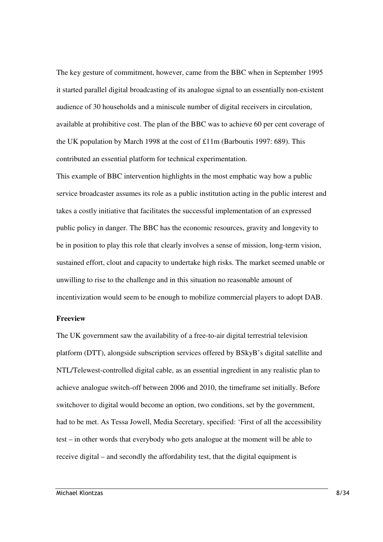The key gesture of commitment, however, came from the BBC when in September 1995 it started parallel digital broadcasting of its analogue signal to an essentially non-existent audience of 30 households and a miniscule number of digital receivers in circulation, available at prohibitive cost. The plan of the BBC was to achieve 60 per cent coverage of the UK population by March 1998 at the cost of  $\pounds$ 11m (Barboutis 1997: 689). This contributed an essential platform for technical experimentation.

This example of BBC intervention highlights in the most emphatic way how a public service broadcaster assumes its role as a public institution acting in the public interest and takes a costly initiative that facilitates the successful implementation of an expressed public policy in danger. The BBC has the economic resources, gravity and longevity to be in position to play this role that clearly involves a sense of mission, long-term vision, sustained effort, clout and capacity to undertake high risks. The market seemed unable or unwilling to rise to the challenge and in this situation no reasonable amount of incentivization would seem to be enough to mobilize commercial players to adopt DAB.

## **Freeview**

The UK government saw the availability of a free-to-air digital terrestrial television platform (DTT), alongside subscription services offered by BSkyB's digital satellite and NTL/Telewest-controlled digital cable, as an essential ingredient in any realistic plan to achieve analogue switch-off between 2006 and 2010, the timeframe set initially. Before switchover to digital would become an option, two conditions, set by the government, had to be met. As Tessa Jowell, Media Secretary, specified: 'First of all the accessibility test – in other words that everybody who gets analogue at the moment will be able to receive digital – and secondly the affordability test, that the digital equipment is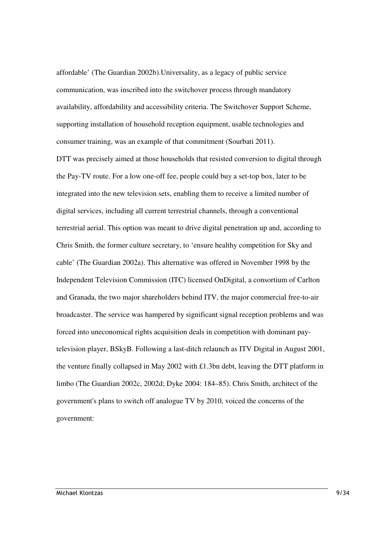affordable' (The Guardian 2002b).Universality, as a legacy of public service communication, was inscribed into the switchover process through mandatory availability, affordability and accessibility criteria. The Switchover Support Scheme, supporting installation of household reception equipment, usable technologies and consumer training, was an example of that commitment (Sourbati 2011).

DTT was precisely aimed at those households that resisted conversion to digital through the Pay-TV route. For a low one-off fee, people could buy a set-top box, later to be integrated into the new television sets, enabling them to receive a limited number of digital services, including all current terrestrial channels, through a conventional terrestrial aerial. This option was meant to drive digital penetration up and, according to Chris Smith, the former culture secretary, to 'ensure healthy competition for Sky and cable' (The Guardian 2002a). This alternative was offered in November 1998 by the Independent Television Commission (ITC) licensed OnDigital, a consortium of Carlton and Granada, the two major shareholders behind ITV, the major commercial free-to-air broadcaster. The service was hampered by significant signal reception problems and was forced into uneconomical rights acquisition deals in competition with dominant paytelevision player, BSkyB. Following a last-ditch relaunch as ITV Digital in August 2001, the venture finally collapsed in May 2002 with  $\pounds$ 1.3bn debt, leaving the DTT platform in limbo (The Guardian 2002c, 2002d; Dyke 2004: 184–85). Chris Smith, architect of the government's plans to switch off analogue TV by 2010, voiced the concerns of the government: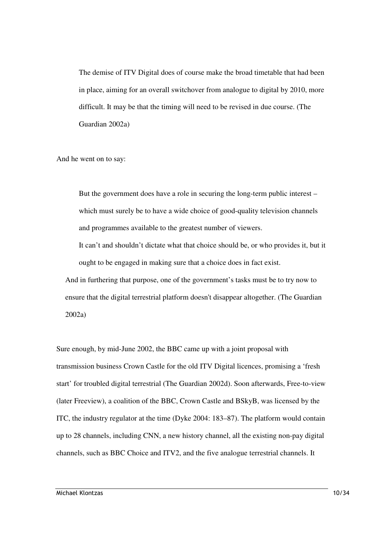The demise of ITV Digital does of course make the broad timetable that had been in place, aiming for an overall switchover from analogue to digital by 2010, more difficult. It may be that the timing will need to be revised in due course. (The Guardian 2002a)

And he went on to say:

But the government does have a role in securing the long-term public interest – which must surely be to have a wide choice of good-quality television channels and programmes available to the greatest number of viewers.

It can't and shouldn't dictate what that choice should be, or who provides it, but it ought to be engaged in making sure that a choice does in fact exist.

And in furthering that purpose, one of the government's tasks must be to try now to ensure that the digital terrestrial platform doesn't disappear altogether. (The Guardian 2002a)

Sure enough, by mid-June 2002, the BBC came up with a joint proposal with transmission business Crown Castle for the old ITV Digital licences, promising a 'fresh start' for troubled digital terrestrial (The Guardian 2002d). Soon afterwards, Free-to-view (later Freeview), a coalition of the BBC, Crown Castle and BSkyB, was licensed by the ITC, the industry regulator at the time (Dyke 2004: 183–87). The platform would contain up to 28 channels, including CNN, a new history channel, all the existing non-pay digital channels, such as BBC Choice and ITV2, and the five analogue terrestrial channels. It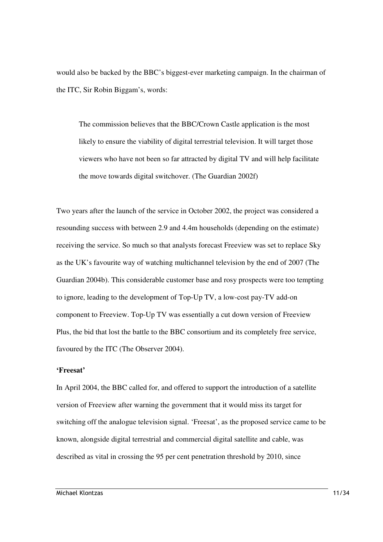would also be backed by the BBC's biggest-ever marketing campaign. In the chairman of the ITC, Sir Robin Biggam's, words:

The commission believes that the BBC/Crown Castle application is the most likely to ensure the viability of digital terrestrial television. It will target those viewers who have not been so far attracted by digital TV and will help facilitate the move towards digital switchover. (The Guardian 2002f)

Two years after the launch of the service in October 2002, the project was considered a resounding success with between 2.9 and 4.4m households (depending on the estimate) receiving the service. So much so that analysts forecast Freeview was set to replace Sky as the UK's favourite way of watching multichannel television by the end of 2007 (The Guardian 2004b). This considerable customer base and rosy prospects were too tempting to ignore, leading to the development of Top-Up TV, a low-cost pay-TV add-on component to Freeview. Top-Up TV was essentially a cut down version of Freeview Plus, the bid that lost the battle to the BBC consortium and its completely free service, favoured by the ITC (The Observer 2004).

## **'Freesat'**

In April 2004, the BBC called for, and offered to support the introduction of a satellite version of Freeview after warning the government that it would miss its target for switching off the analogue television signal. 'Freesat', as the proposed service came to be known, alongside digital terrestrial and commercial digital satellite and cable, was described as vital in crossing the 95 per cent penetration threshold by 2010, since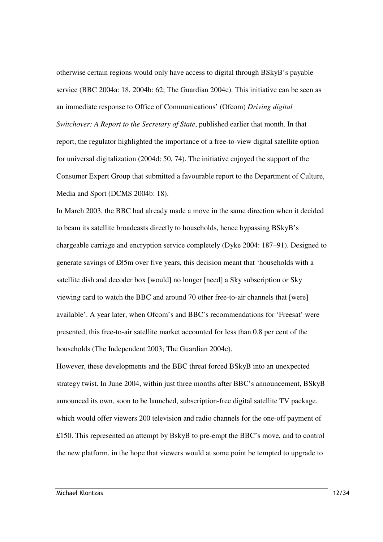otherwise certain regions would only have access to digital through BSkyB's payable service (BBC 2004a: 18, 2004b: 62; The Guardian 2004c). This initiative can be seen as an immediate response to Office of Communications' (Ofcom) *Driving digital Switchover: A Report to the Secretary of State*, published earlier that month. In that report, the regulator highlighted the importance of a free-to-view digital satellite option for universal digitalization (2004d: 50, 74). The initiative enjoyed the support of the Consumer Expert Group that submitted a favourable report to the Department of Culture, Media and Sport (DCMS 2004b: 18).

In March 2003, the BBC had already made a move in the same direction when it decided to beam its satellite broadcasts directly to households, hence bypassing BSkyB's chargeable carriage and encryption service completely (Dyke 2004: 187–91). Designed to generate savings of £85m over five years, this decision meant that 'households with a satellite dish and decoder box [would] no longer [need] a Sky subscription or Sky viewing card to watch the BBC and around 70 other free-to-air channels that [were] available'. A year later, when Ofcom's and BBC's recommendations for 'Freesat' were presented, this free-to-air satellite market accounted for less than 0.8 per cent of the households (The Independent 2003; The Guardian 2004c).

However, these developments and the BBC threat forced BSkyB into an unexpected strategy twist. In June 2004, within just three months after BBC's announcement, BSkyB announced its own, soon to be launched, subscription-free digital satellite TV package, which would offer viewers 200 television and radio channels for the one-off payment of £150. This represented an attempt by BskyB to pre-empt the BBC's move, and to control the new platform, in the hope that viewers would at some point be tempted to upgrade to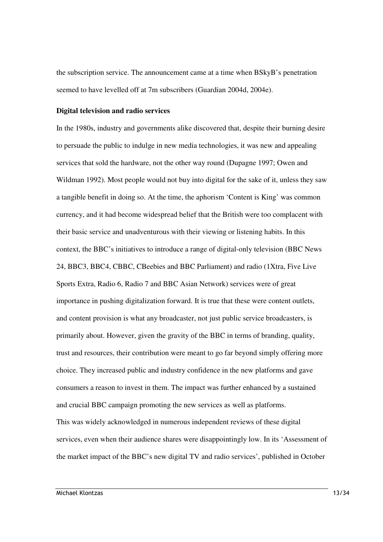the subscription service. The announcement came at a time when BSkyB's penetration seemed to have levelled off at 7m subscribers (Guardian 2004d, 2004e).

## **Digital television and radio services**

In the 1980s, industry and governments alike discovered that, despite their burning desire to persuade the public to indulge in new media technologies, it was new and appealing services that sold the hardware, not the other way round (Dupagne 1997; Owen and Wildman 1992). Most people would not buy into digital for the sake of it, unless they saw a tangible benefit in doing so. At the time, the aphorism 'Content is King' was common currency, and it had become widespread belief that the British were too complacent with their basic service and unadventurous with their viewing or listening habits. In this context, the BBC's initiatives to introduce a range of digital-only television (BBC News 24, BBC3, BBC4, CBBC, CBeebies and BBC Parliament) and radio (1Xtra, Five Live Sports Extra, Radio 6, Radio 7 and BBC Asian Network) services were of great importance in pushing digitalization forward. It is true that these were content outlets, and content provision is what any broadcaster, not just public service broadcasters, is primarily about. However, given the gravity of the BBC in terms of branding, quality, trust and resources, their contribution were meant to go far beyond simply offering more choice. They increased public and industry confidence in the new platforms and gave consumers a reason to invest in them. The impact was further enhanced by a sustained and crucial BBC campaign promoting the new services as well as platforms. This was widely acknowledged in numerous independent reviews of these digital services, even when their audience shares were disappointingly low. In its 'Assessment of the market impact of the BBC's new digital TV and radio services', published in October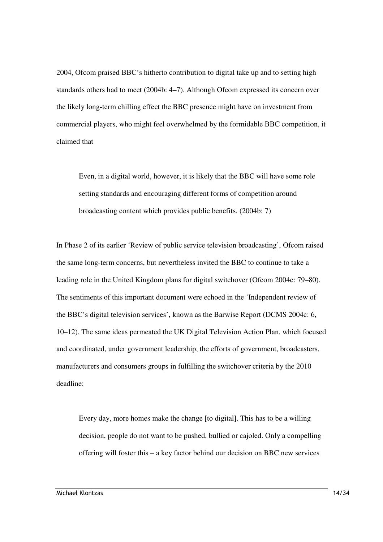2004, Ofcom praised BBC's hitherto contribution to digital take up and to setting high standards others had to meet (2004b: 4–7). Although Ofcom expressed its concern over the likely long-term chilling effect the BBC presence might have on investment from commercial players, who might feel overwhelmed by the formidable BBC competition, it claimed that

Even, in a digital world, however, it is likely that the BBC will have some role setting standards and encouraging different forms of competition around broadcasting content which provides public benefits. (2004b: 7)

In Phase 2 of its earlier 'Review of public service television broadcasting', Ofcom raised the same long-term concerns, but nevertheless invited the BBC to continue to take a leading role in the United Kingdom plans for digital switchover (Ofcom 2004c: 79–80). The sentiments of this important document were echoed in the 'Independent review of the BBC's digital television services', known as the Barwise Report (DCMS 2004c: 6, 10–12). The same ideas permeated the UK Digital Television Action Plan, which focused and coordinated, under government leadership, the efforts of government, broadcasters, manufacturers and consumers groups in fulfilling the switchover criteria by the 2010 deadline:

Every day, more homes make the change [to digital]. This has to be a willing decision, people do not want to be pushed, bullied or cajoled. Only a compelling offering will foster this – a key factor behind our decision on BBC new services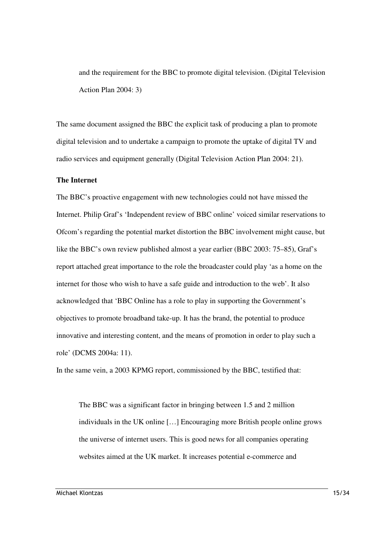and the requirement for the BBC to promote digital television. (Digital Television Action Plan 2004: 3)

The same document assigned the BBC the explicit task of producing a plan to promote digital television and to undertake a campaign to promote the uptake of digital TV and radio services and equipment generally (Digital Television Action Plan 2004: 21).

# **The Internet**

The BBC's proactive engagement with new technologies could not have missed the Internet. Philip Graf's 'Independent review of BBC online' voiced similar reservations to Ofcom's regarding the potential market distortion the BBC involvement might cause, but like the BBC's own review published almost a year earlier (BBC 2003: 75–85), Graf's report attached great importance to the role the broadcaster could play 'as a home on the internet for those who wish to have a safe guide and introduction to the web'. It also acknowledged that 'BBC Online has a role to play in supporting the Government's objectives to promote broadband take-up. It has the brand, the potential to produce innovative and interesting content, and the means of promotion in order to play such a role' (DCMS 2004a: 11).

In the same vein, a 2003 KPMG report, commissioned by the BBC, testified that:

The BBC was a significant factor in bringing between 1.5 and 2 million individuals in the UK online […] Encouraging more British people online grows the universe of internet users. This is good news for all companies operating websites aimed at the UK market. It increases potential e-commerce and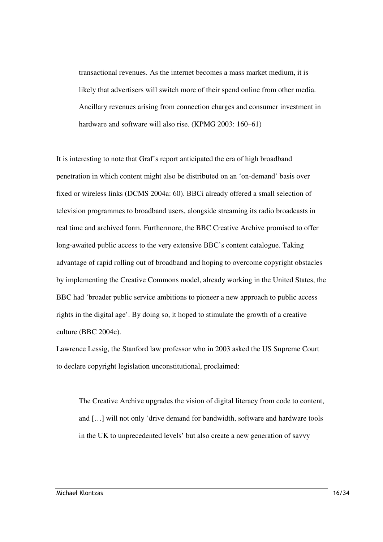transactional revenues. As the internet becomes a mass market medium, it is likely that advertisers will switch more of their spend online from other media. Ancillary revenues arising from connection charges and consumer investment in hardware and software will also rise. (KPMG 2003: 160–61)

It is interesting to note that Graf's report anticipated the era of high broadband penetration in which content might also be distributed on an 'on-demand' basis over fixed or wireless links (DCMS 2004a: 60). BBCi already offered a small selection of television programmes to broadband users, alongside streaming its radio broadcasts in real time and archived form. Furthermore, the BBC Creative Archive promised to offer long-awaited public access to the very extensive BBC's content catalogue. Taking advantage of rapid rolling out of broadband and hoping to overcome copyright obstacles by implementing the Creative Commons model, already working in the United States, the BBC had 'broader public service ambitions to pioneer a new approach to public access rights in the digital age'. By doing so, it hoped to stimulate the growth of a creative culture (BBC 2004c).

Lawrence Lessig, the Stanford law professor who in 2003 asked the US Supreme Court to declare copyright legislation unconstitutional, proclaimed:

The Creative Archive upgrades the vision of digital literacy from code to content, and […] will not only 'drive demand for bandwidth, software and hardware tools in the UK to unprecedented levels' but also create a new generation of savvy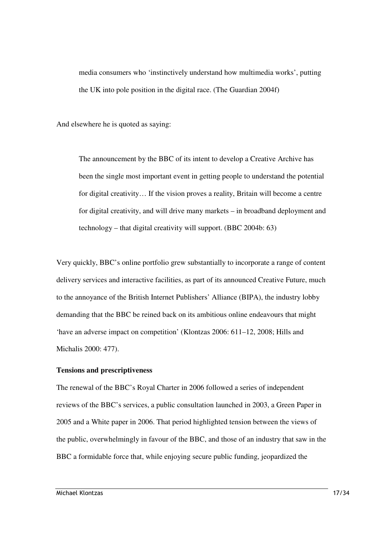media consumers who 'instinctively understand how multimedia works', putting the UK into pole position in the digital race. (The Guardian 2004f)

And elsewhere he is quoted as saying:

The announcement by the BBC of its intent to develop a Creative Archive has been the single most important event in getting people to understand the potential for digital creativity… If the vision proves a reality, Britain will become a centre for digital creativity, and will drive many markets – in broadband deployment and technology – that digital creativity will support. (BBC 2004b: 63)

Very quickly, BBC's online portfolio grew substantially to incorporate a range of content delivery services and interactive facilities, as part of its announced Creative Future, much to the annoyance of the British Internet Publishers' Alliance (BIPA), the industry lobby demanding that the BBC be reined back on its ambitious online endeavours that might 'have an adverse impact on competition' (Klontzas 2006: 611–12, 2008; Hills and Michalis 2000: 477).

# **Tensions and prescriptiveness**

The renewal of the BBC's Royal Charter in 2006 followed a series of independent reviews of the BBC's services, a public consultation launched in 2003, a Green Paper in 2005 and a White paper in 2006. That period highlighted tension between the views of the public, overwhelmingly in favour of the BBC, and those of an industry that saw in the BBC a formidable force that, while enjoying secure public funding, jeopardized the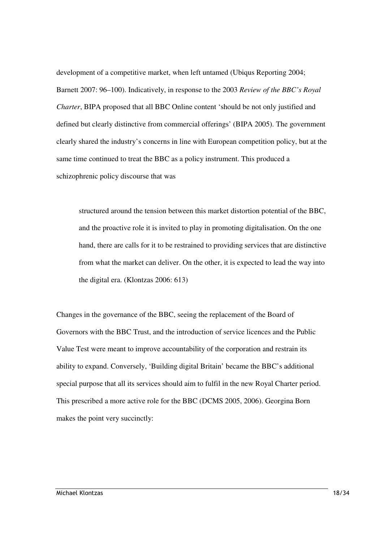development of a competitive market, when left untamed (Ubiqus Reporting 2004; Barnett 2007: 96–100). Indicatively, in response to the 2003 *Review of the BBC's Royal Charter*, BIPA proposed that all BBC Online content 'should be not only justified and defined but clearly distinctive from commercial offerings' (BIPA 2005). The government clearly shared the industry's concerns in line with European competition policy, but at the same time continued to treat the BBC as a policy instrument. This produced a schizophrenic policy discourse that was

structured around the tension between this market distortion potential of the BBC, and the proactive role it is invited to play in promoting digitalisation. On the one hand, there are calls for it to be restrained to providing services that are distinctive from what the market can deliver. On the other, it is expected to lead the way into the digital era. (Klontzas 2006: 613)

Changes in the governance of the BBC, seeing the replacement of the Board of Governors with the BBC Trust, and the introduction of service licences and the Public Value Test were meant to improve accountability of the corporation and restrain its ability to expand. Conversely, 'Building digital Britain' became the BBC's additional special purpose that all its services should aim to fulfil in the new Royal Charter period. This prescribed a more active role for the BBC (DCMS 2005, 2006). Georgina Born makes the point very succinctly: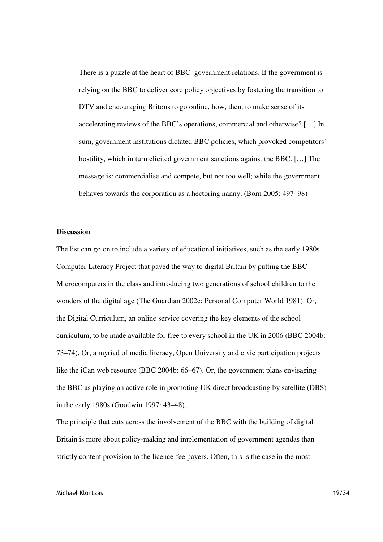There is a puzzle at the heart of BBC–government relations. If the government is relying on the BBC to deliver core policy objectives by fostering the transition to DTV and encouraging Britons to go online, how, then, to make sense of its accelerating reviews of the BBC's operations, commercial and otherwise? […] In sum, government institutions dictated BBC policies, which provoked competitors' hostility, which in turn elicited government sanctions against the BBC. […] The message is: commercialise and compete, but not too well; while the government behaves towards the corporation as a hectoring nanny. (Born 2005: 497–98)

## **Discussion**

The list can go on to include a variety of educational initiatives, such as the early 1980s Computer Literacy Project that paved the way to digital Britain by putting the BBC Microcomputers in the class and introducing two generations of school children to the wonders of the digital age (The Guardian 2002e; Personal Computer World 1981). Or, the Digital Curriculum, an online service covering the key elements of the school curriculum, to be made available for free to every school in the UK in 2006 (BBC 2004b: 73–74). Or, a myriad of media literacy, Open University and civic participation projects like the iCan web resource (BBC 2004b: 66–67). Or, the government plans envisaging the BBC as playing an active role in promoting UK direct broadcasting by satellite (DBS) in the early 1980s (Goodwin 1997: 43–48).

The principle that cuts across the involvement of the BBC with the building of digital Britain is more about policy-making and implementation of government agendas than strictly content provision to the licence-fee payers. Often, this is the case in the most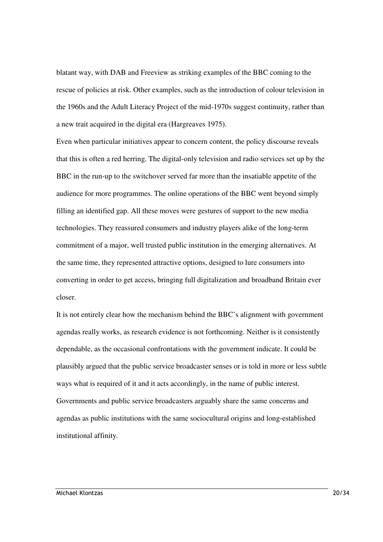blatant way, with DAB and Freeview as striking examples of the BBC coming to the rescue of policies at risk. Other examples, such as the introduction of colour television in the 1960s and the Adult Literacy Project of the mid-1970s suggest continuity, rather than a new trait acquired in the digital era (Hargreaves 1975).

Even when particular initiatives appear to concern content, the policy discourse reveals that this is often a red herring. The digital-only television and radio services set up by the BBC in the run-up to the switchover served far more than the insatiable appetite of the audience for more programmes. The online operations of the BBC went beyond simply filling an identified gap. All these moves were gestures of support to the new media technologies. They reassured consumers and industry players alike of the long-term commitment of a major, well trusted public institution in the emerging alternatives. At the same time, they represented attractive options, designed to lure consumers into converting in order to get access, bringing full digitalization and broadband Britain ever closer.

It is not entirely clear how the mechanism behind the BBC's alignment with government agendas really works, as research evidence is not forthcoming. Neither is it consistently dependable, as the occasional confrontations with the government indicate. It could be plausibly argued that the public service broadcaster senses or is told in more or less subtle ways what is required of it and it acts accordingly, in the name of public interest. Governments and public service broadcasters arguably share the same concerns and agendas as public institutions with the same sociocultural origins and long-established institutional affinity.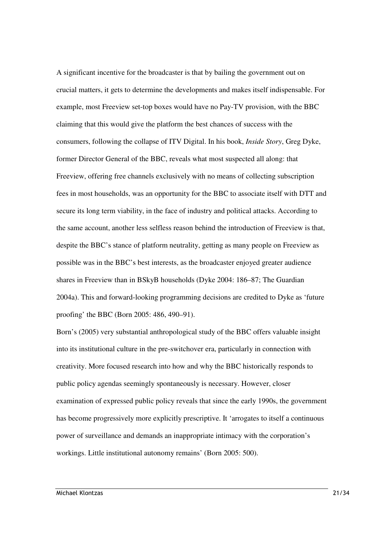A significant incentive for the broadcaster is that by bailing the government out on crucial matters, it gets to determine the developments and makes itself indispensable. For example, most Freeview set-top boxes would have no Pay-TV provision, with the BBC claiming that this would give the platform the best chances of success with the consumers, following the collapse of ITV Digital. In his book, *Inside Story*, Greg Dyke, former Director General of the BBC, reveals what most suspected all along: that Freeview, offering free channels exclusively with no means of collecting subscription fees in most households, was an opportunity for the BBC to associate itself with DTT and secure its long term viability, in the face of industry and political attacks. According to the same account, another less selfless reason behind the introduction of Freeview is that, despite the BBC's stance of platform neutrality, getting as many people on Freeview as possible was in the BBC's best interests, as the broadcaster enjoyed greater audience shares in Freeview than in BSkyB households (Dyke 2004: 186–87; The Guardian 2004a). This and forward-looking programming decisions are credited to Dyke as 'future proofing' the BBC (Born 2005: 486, 490–91).

Born's (2005) very substantial anthropological study of the BBC offers valuable insight into its institutional culture in the pre-switchover era, particularly in connection with creativity. More focused research into how and why the BBC historically responds to public policy agendas seemingly spontaneously is necessary. However, closer examination of expressed public policy reveals that since the early 1990s, the government has become progressively more explicitly prescriptive. It 'arrogates to itself a continuous power of surveillance and demands an inappropriate intimacy with the corporation's workings. Little institutional autonomy remains' (Born 2005: 500).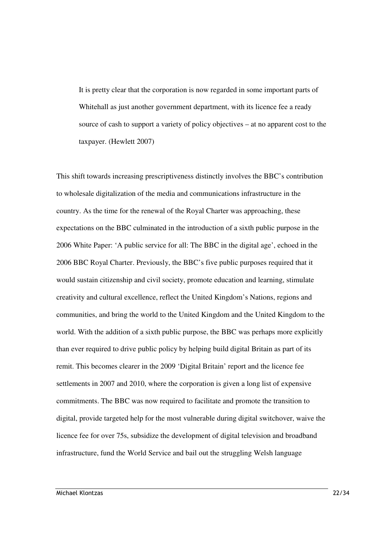It is pretty clear that the corporation is now regarded in some important parts of Whitehall as just another government department, with its licence fee a ready source of cash to support a variety of policy objectives – at no apparent cost to the taxpayer. (Hewlett 2007)

This shift towards increasing prescriptiveness distinctly involves the BBC's contribution to wholesale digitalization of the media and communications infrastructure in the country. As the time for the renewal of the Royal Charter was approaching, these expectations on the BBC culminated in the introduction of a sixth public purpose in the 2006 White Paper: 'A public service for all: The BBC in the digital age', echoed in the 2006 BBC Royal Charter. Previously, the BBC's five public purposes required that it would sustain citizenship and civil society, promote education and learning, stimulate creativity and cultural excellence, reflect the United Kingdom's Nations, regions and communities, and bring the world to the United Kingdom and the United Kingdom to the world. With the addition of a sixth public purpose, the BBC was perhaps more explicitly than ever required to drive public policy by helping build digital Britain as part of its remit. This becomes clearer in the 2009 'Digital Britain' report and the licence fee settlements in 2007 and 2010, where the corporation is given a long list of expensive commitments. The BBC was now required to facilitate and promote the transition to digital, provide targeted help for the most vulnerable during digital switchover, waive the licence fee for over 75s, subsidize the development of digital television and broadband infrastructure, fund the World Service and bail out the struggling Welsh language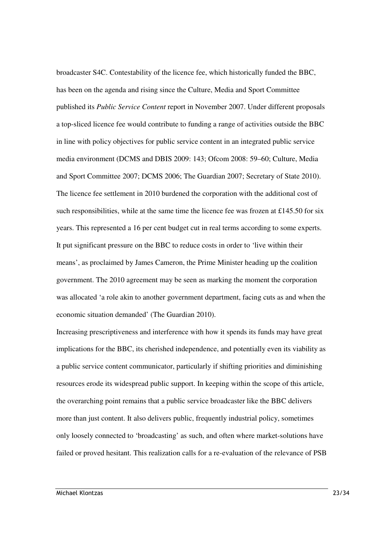broadcaster S4C. Contestability of the licence fee, which historically funded the BBC, has been on the agenda and rising since the Culture, Media and Sport Committee published its *Public Service Content* report in November 2007. Under different proposals a top-sliced licence fee would contribute to funding a range of activities outside the BBC in line with policy objectives for public service content in an integrated public service media environment (DCMS and DBIS 2009: 143; Ofcom 2008: 59–60; Culture, Media and Sport Committee 2007; DCMS 2006; The Guardian 2007; Secretary of State 2010). The licence fee settlement in 2010 burdened the corporation with the additional cost of such responsibilities, while at the same time the licence fee was frozen at £145.50 for six years. This represented a 16 per cent budget cut in real terms according to some experts. It put significant pressure on the BBC to reduce costs in order to 'live within their means', as proclaimed by James Cameron, the Prime Minister heading up the coalition government. The 2010 agreement may be seen as marking the moment the corporation was allocated 'a role akin to another government department, facing cuts as and when the economic situation demanded' (The Guardian 2010).

Increasing prescriptiveness and interference with how it spends its funds may have great implications for the BBC, its cherished independence, and potentially even its viability as a public service content communicator, particularly if shifting priorities and diminishing resources erode its widespread public support. In keeping within the scope of this article, the overarching point remains that a public service broadcaster like the BBC delivers more than just content. It also delivers public, frequently industrial policy, sometimes only loosely connected to 'broadcasting' as such, and often where market-solutions have failed or proved hesitant. This realization calls for a re-evaluation of the relevance of PSB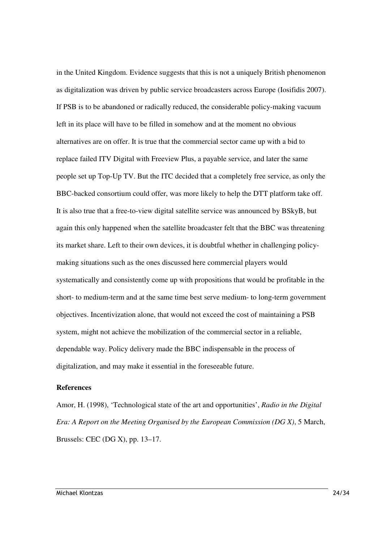in the United Kingdom. Evidence suggests that this is not a uniquely British phenomenon as digitalization was driven by public service broadcasters across Europe (Iosifidis 2007). If PSB is to be abandoned or radically reduced, the considerable policy-making vacuum left in its place will have to be filled in somehow and at the moment no obvious alternatives are on offer. It is true that the commercial sector came up with a bid to replace failed ITV Digital with Freeview Plus, a payable service, and later the same people set up Top-Up TV. But the ITC decided that a completely free service, as only the BBC-backed consortium could offer, was more likely to help the DTT platform take off. It is also true that a free-to-view digital satellite service was announced by BSkyB, but again this only happened when the satellite broadcaster felt that the BBC was threatening its market share. Left to their own devices, it is doubtful whether in challenging policymaking situations such as the ones discussed here commercial players would systematically and consistently come up with propositions that would be profitable in the short- to medium-term and at the same time best serve medium- to long-term government objectives. Incentivization alone, that would not exceed the cost of maintaining a PSB system, might not achieve the mobilization of the commercial sector in a reliable, dependable way. Policy delivery made the BBC indispensable in the process of digitalization, and may make it essential in the foreseeable future.

## **References**

Amor, H. (1998), 'Technological state of the art and opportunities', *Radio in the Digital Era: A Report on the Meeting Organised by the European Commission (DG X)*, 5 March, Brussels: CEC (DG X), pp. 13–17.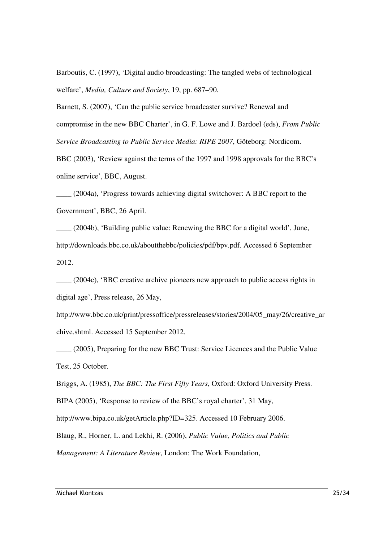Barboutis, C. (1997), 'Digital audio broadcasting: The tangled webs of technological welfare', *Media, Culture and Society*, 19, pp. 687–90.

Barnett, S. (2007), 'Can the public service broadcaster survive? Renewal and compromise in the new BBC Charter', in G. F. Lowe and J. Bardoel (eds), *From Public Service Broadcasting to Public Service Media: RIPE 2007*, Göteborg: Nordicom.

BBC (2003), 'Review against the terms of the 1997 and 1998 approvals for the BBC's online service', BBC, August.

\_\_\_\_ (2004a), 'Progress towards achieving digital switchover: A BBC report to the Government', BBC, 26 April.

\_\_\_\_ (2004b), 'Building public value: Renewing the BBC for a digital world', June, http://downloads.bbc.co.uk/aboutthebbc/policies/pdf/bpv.pdf. Accessed 6 September 2012.

\_\_\_\_ (2004c), 'BBC creative archive pioneers new approach to public access rights in digital age', Press release, 26 May,

http://www.bbc.co.uk/print/pressoffice/pressreleases/stories/2004/05\_may/26/creative\_ar chive.shtml. Accessed 15 September 2012.

\_\_\_\_ (2005), Preparing for the new BBC Trust: Service Licences and the Public Value Test, 25 October.

Briggs, A. (1985), *The BBC: The First Fifty Years*, Oxford: Oxford University Press.

BIPA (2005), 'Response to review of the BBC's royal charter', 31 May,

http://www.bipa.co.uk/getArticle.php?ID=325. Accessed 10 February 2006.

Blaug, R., Horner, L. and Lekhi, R. (2006), *Public Value, Politics and Public* 

*Management: A Literature Review*, London: The Work Foundation,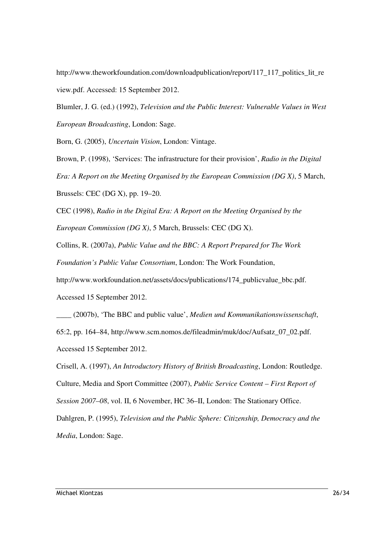http://www.theworkfoundation.com/downloadpublication/report/117\_117\_politics\_lit\_re view.pdf. Accessed: 15 September 2012.

Blumler, J. G. (ed.) (1992), *Television and the Public Interest: Vulnerable Values in West European Broadcasting*, London: Sage.

Born, G. (2005), *Uncertain Vision*, London: Vintage.

Brown, P. (1998), 'Services: The infrastructure for their provision', *Radio in the Digital Era: A Report on the Meeting Organised by the European Commission (DG X)*, 5 March, Brussels: CEC (DG X), pp. 19–20.

CEC (1998), *Radio in the Digital Era: A Report on the Meeting Organised by the European Commission (DG X)*, 5 March, Brussels: CEC (DG X).

Collins, R. (2007a), *Public Value and the BBC: A Report Prepared for The Work Foundation's Public Value Consortium*, London: The Work Foundation,

http://www.workfoundation.net/assets/docs/publications/174\_publicvalue\_bbc.pdf. Accessed 15 September 2012.

\_\_\_\_ (2007b), 'The BBC and public value', *Medien und Kommunikationswissenschaft*, 65:2, pp. 164–84, http://www.scm.nomos.de/fileadmin/muk/doc/Aufsatz\_07\_02.pdf. Accessed 15 September 2012.

Crisell, A. (1997), *An Introductory History of British Broadcasting*, London: Routledge. Culture, Media and Sport Committee (2007), *Public Service Content – First Report of Session 2007–08*, vol. II, 6 November, HC 36–II, London: The Stationary Office. Dahlgren, P. (1995), *Television and the Public Sphere: Citizenship, Democracy and the Media*, London: Sage.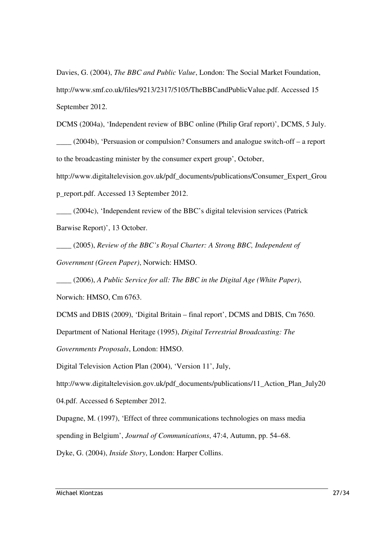Davies, G. (2004), *The BBC and Public Value*, London: The Social Market Foundation, http://www.smf.co.uk/files/9213/2317/5105/TheBBCandPublicValue.pdf. Accessed 15 September 2012.

DCMS (2004a), 'Independent review of BBC online (Philip Graf report)', DCMS, 5 July. \_\_\_\_ (2004b), 'Persuasion or compulsion? Consumers and analogue switch-off – a report to the broadcasting minister by the consumer expert group', October,

http://www.digitaltelevision.gov.uk/pdf\_documents/publications/Consumer\_Expert\_Grou p\_report.pdf. Accessed 13 September 2012.

\_\_\_\_ (2004c), 'Independent review of the BBC's digital television services (Patrick Barwise Report)', 13 October.

\_\_\_\_ (2005), *Review of the BBC's Royal Charter: A Strong BBC, Independent of Government (Green Paper)*, Norwich: HMSO.

\_\_\_\_ (2006), *A Public Service for all: The BBC in the Digital Age (White Paper)*, Norwich: HMSO, Cm 6763.

DCMS and DBIS (2009), 'Digital Britain – final report', DCMS and DBIS, Cm 7650.

Department of National Heritage (1995), *Digital Terrestrial Broadcasting: The* 

*Governments Proposals*, London: HMSO.

Digital Television Action Plan (2004), 'Version 11', July,

http://www.digitaltelevision.gov.uk/pdf\_documents/publications/11\_Action\_Plan\_July20

04.pdf. Accessed 6 September 2012.

Dupagne, M. (1997), 'Effect of three communications technologies on mass media

spending in Belgium', *Journal of Communications*, 47:4, Autumn, pp. 54–68.

Dyke, G. (2004), *Inside Story*, London: Harper Collins.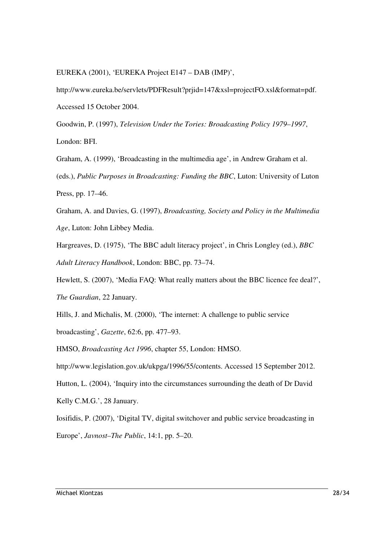## EUREKA (2001), 'EUREKA Project E147 – DAB (IMP)',

http://www.eureka.be/servlets/PDFResult?prjid=147&xsl=projectFO.xsl&format=pdf. Accessed 15 October 2004.

Goodwin, P. (1997), *Television Under the Tories: Broadcasting Policy 1979–1997*, London: BFI.

Graham, A. (1999), 'Broadcasting in the multimedia age', in Andrew Graham et al.

(eds.), *Public Purposes in Broadcasting: Funding the BBC*, Luton: University of Luton Press, pp. 17–46.

Graham, A. and Davies, G. (1997), *Broadcasting, Society and Policy in the Multimedia Age*, Luton: John Libbey Media.

Hargreaves, D. (1975), 'The BBC adult literacy project', in Chris Longley (ed.), *BBC Adult Literacy Handbook*, London: BBC, pp. 73–74.

Hewlett, S. (2007), 'Media FAQ: What really matters about the BBC licence fee deal?', *The Guardian*, 22 January.

Hills, J. and Michalis, M. (2000), 'The internet: A challenge to public service broadcasting', *Gazette*, 62:6, pp. 477–93.

HMSO, *Broadcasting Act 1996*, chapter 55, London: HMSO.

http://www.legislation.gov.uk/ukpga/1996/55/contents. Accessed 15 September 2012.

Hutton, L. (2004), 'Inquiry into the circumstances surrounding the death of Dr David

Kelly C.M.G.', 28 January.

Iosifidis, P. (2007), 'Digital TV, digital switchover and public service broadcasting in Europe', *Javnost–The Public*, 14:1, pp. 5–20.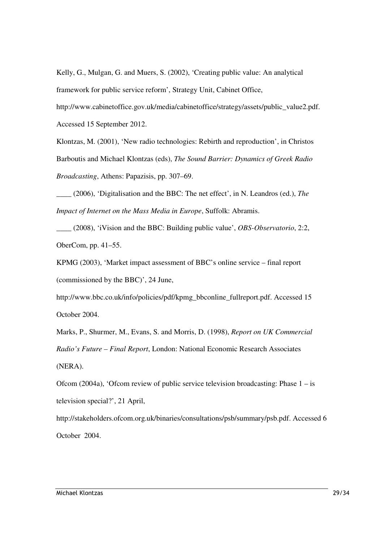Kelly, G., Mulgan, G. and Muers, S. (2002), 'Creating public value: An analytical framework for public service reform', Strategy Unit, Cabinet Office,

http://www.cabinetoffice.gov.uk/media/cabinetoffice/strategy/assets/public\_value2.pdf. Accessed 15 September 2012.

Klontzas, M. (2001), 'New radio technologies: Rebirth and reproduction', in Christos Barboutis and Michael Klontzas (eds), *The Sound Barrier: Dynamics of Greek Radio Broadcasting*, Athens: Papazisis, pp. 307–69.

\_\_\_\_ (2006), 'Digitalisation and the BBC: The net effect', in N. Leandros (ed.), *The Impact of Internet on the Mass Media in Europe*, Suffolk: Abramis.

\_\_\_\_ (2008), 'iVision and the BBC: Building public value', *OBS-Observatorio*, 2:2, OberCom, pp. 41–55.

KPMG (2003), 'Market impact assessment of BBC's online service – final report (commissioned by the BBC)', 24 June,

http://www.bbc.co.uk/info/policies/pdf/kpmg\_bbconline\_fullreport.pdf. Accessed 15 October 2004.

Marks, P., Shurmer, M., Evans, S. and Morris, D. (1998), *Report on UK Commercial Radio's Future – Final Report*, London: National Economic Research Associates (NERA).

Ofcom (2004a), 'Ofcom review of public service television broadcasting: Phase  $1 - is$ television special?', 21 April,

http://stakeholders.ofcom.org.uk/binaries/consultations/psb/summary/psb.pdf. Accessed 6 October 2004.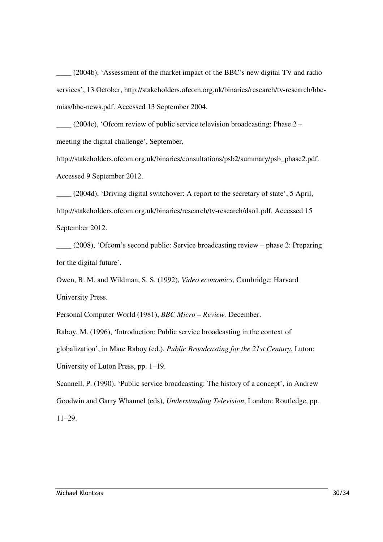\_\_\_\_ (2004b), 'Assessment of the market impact of the BBC's new digital TV and radio services', 13 October, http://stakeholders.ofcom.org.uk/binaries/research/tv-research/bbcmias/bbc-news.pdf. Accessed 13 September 2004.

 $\Box$  (2004c), 'Ofcom review of public service television broadcasting: Phase 2 – meeting the digital challenge', September,

http://stakeholders.ofcom.org.uk/binaries/consultations/psb2/summary/psb\_phase2.pdf. Accessed 9 September 2012.

\_\_\_\_ (2004d), 'Driving digital switchover: A report to the secretary of state', 5 April, http://stakeholders.ofcom.org.uk/binaries/research/tv-research/dso1.pdf. Accessed 15 September 2012.

\_\_\_\_ (2008), 'Ofcom's second public: Service broadcasting review – phase 2: Preparing for the digital future'.

Owen, B. M. and Wildman, S. S. (1992), *Video economics*, Cambridge: Harvard University Press.

Personal Computer World (1981), *BBC Micro – Review,* December.

Raboy, M. (1996), 'Introduction: Public service broadcasting in the context of globalization', in Marc Raboy (ed.), *Public Broadcasting for the 21st Century*, Luton: University of Luton Press, pp. 1–19.

Scannell, P. (1990), 'Public service broadcasting: The history of a concept', in Andrew Goodwin and Garry Whannel (eds), *Understanding Television*, London: Routledge, pp. 11–29.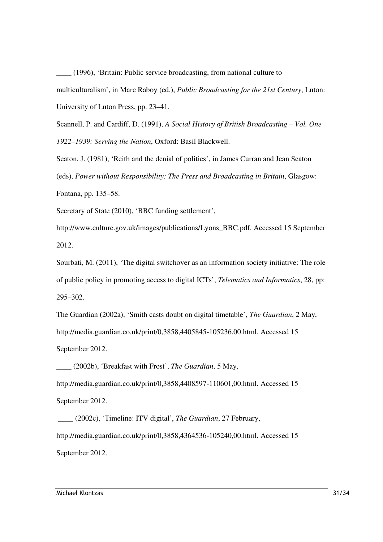\_\_\_\_ (1996), 'Britain: Public service broadcasting, from national culture to multiculturalism', in Marc Raboy (ed.), *Public Broadcasting for the 21st Century*, Luton: University of Luton Press, pp. 23–41.

Scannell, P. and Cardiff, D. (1991), *A Social History of British Broadcasting – Vol. One 1922–1939: Serving the Nation*, Oxford: Basil Blackwell.

Seaton, J. (1981), 'Reith and the denial of politics', in James Curran and Jean Seaton (eds), *Power without Responsibility: The Press and Broadcasting in Britain*, Glasgow: Fontana, pp. 135–58.

Secretary of State (2010), 'BBC funding settlement',

http://www.culture.gov.uk/images/publications/Lyons\_BBC.pdf. Accessed 15 September 2012.

Sourbati, M. (2011), 'The digital switchover as an information society initiative: The role of public policy in promoting access to digital ICTs', *Telematics and Informatics*, 28, pp: 295–302.

The Guardian (2002a), 'Smith casts doubt on digital timetable', *The Guardian*, 2 May, http://media.guardian.co.uk/print/0,3858,4405845-105236,00.html. Accessed 15 September 2012.

\_\_\_\_ (2002b), 'Breakfast with Frost', *The Guardian*, 5 May,

http://media.guardian.co.uk/print/0,3858,4408597-110601,00.html. Accessed 15 September 2012.

 \_\_\_\_ (2002c), 'Timeline: ITV digital', *The Guardian*, 27 February, http://media.guardian.co.uk/print/0,3858,4364536-105240,00.html. Accessed 15 September 2012.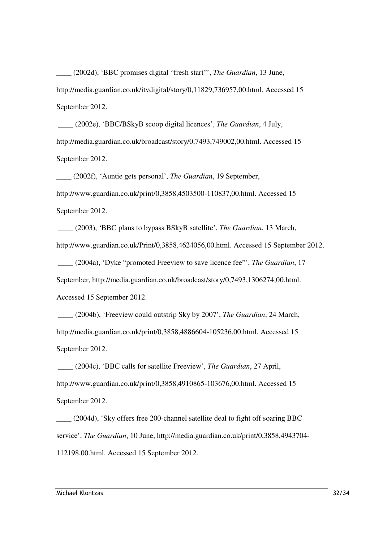\_\_\_\_ (2002d), 'BBC promises digital "fresh start"', *The Guardian*, 13 June, http://media.guardian.co.uk/itvdigital/story/0,11829,736957,00.html. Accessed 15 September 2012.

 \_\_\_\_ (2002e), 'BBC/BSkyB scoop digital licences', *The Guardian*, 4 July, http://media.guardian.co.uk/broadcast/story/0,7493,749002,00.html. Accessed 15 September 2012.

\_\_\_\_ (2002f), 'Auntie gets personal', *The Guardian*, 19 September, http://www.guardian.co.uk/print/0,3858,4503500-110837,00.html. Accessed 15 September 2012.

 \_\_\_\_ (2003), 'BBC plans to bypass BSkyB satellite', *The Guardian*, 13 March, http://www.guardian.co.uk/Print/0,3858,4624056,00.html. Accessed 15 September 2012.

 \_\_\_\_ (2004a), 'Dyke "promoted Freeview to save licence fee"', *The Guardian*, 17 September, http://media.guardian.co.uk/broadcast/story/0,7493,1306274,00.html. Accessed 15 September 2012.

 \_\_\_\_ (2004b), 'Freeview could outstrip Sky by 2007', *The Guardian*, 24 March, http://media.guardian.co.uk/print/0,3858,4886604-105236,00.html. Accessed 15 September 2012.

 \_\_\_\_ (2004c), 'BBC calls for satellite Freeview', *The Guardian*, 27 April, http://www.guardian.co.uk/print/0,3858,4910865-103676,00.html. Accessed 15 September 2012.

\_\_\_\_ (2004d), 'Sky offers free 200-channel satellite deal to fight off soaring BBC service', *The Guardian*, 10 June, http://media.guardian.co.uk/print/0,3858,4943704- 112198,00.html. Accessed 15 September 2012.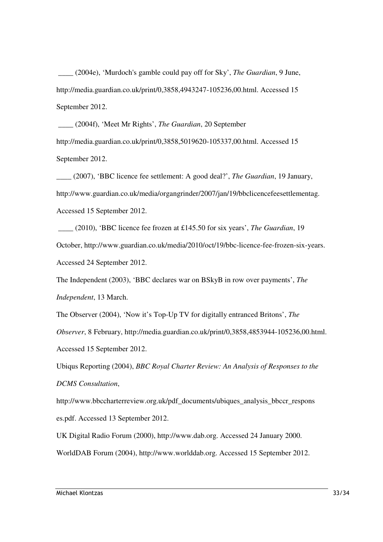\_\_\_\_ (2004e), 'Murdoch's gamble could pay off for Sky', *The Guardian*, 9 June, http://media.guardian.co.uk/print/0,3858,4943247-105236,00.html. Accessed 15 September 2012.

 \_\_\_\_ (2004f), 'Meet Mr Rights', *The Guardian*, 20 September http://media.guardian.co.uk/print/0,3858,5019620-105337,00.html. Accessed 15 September 2012.

\_\_\_\_ (2007), 'BBC licence fee settlement: A good deal?', *The Guardian*, 19 January, http://www.guardian.co.uk/media/organgrinder/2007/jan/19/bbclicencefeesettlementag. Accessed 15 September 2012.

 \_\_\_\_ (2010), 'BBC licence fee frozen at £145.50 for six years', *The Guardian*, 19 October, http://www.guardian.co.uk/media/2010/oct/19/bbc-licence-fee-frozen-six-years. Accessed 24 September 2012.

The Independent (2003), 'BBC declares war on BSkyB in row over payments', *The Independent*, 13 March.

The Observer (2004), 'Now it's Top-Up TV for digitally entranced Britons', *The Observer*, 8 February, http://media.guardian.co.uk/print/0,3858,4853944-105236,00.html. Accessed 15 September 2012.

Ubiqus Reporting (2004), *BBC Royal Charter Review: An Analysis of Responses to the DCMS Consultation*,

http://www.bbccharterreview.org.uk/pdf\_documents/ubiques\_analysis\_bbccr\_respons es.pdf. Accessed 13 September 2012.

UK Digital Radio Forum (2000), http://www.dab.org. Accessed 24 January 2000. WorldDAB Forum (2004), http://www.worlddab.org. Accessed 15 September 2012.